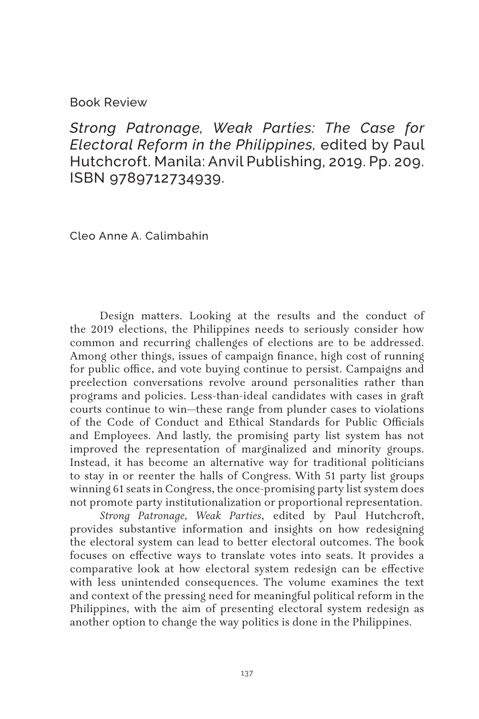## Book Review

*Strong Patronage, Weak Parties: The Case for Electoral Reform in the Philippines,* edited by Paul Hutchcroft. Manila: Anvil Publishing, 2019. Pp. 209. ISBN 9789712734939.

Cleo Anne A. Calimbahin

Design matters. Looking at the results and the conduct of the 2019 elections, the Philippines needs to seriously consider how common and recurring challenges of elections are to be addressed. Among other things, issues of campaign finance, high cost of running for public office, and vote buying continue to persist. Campaigns and preelection conversations revolve around personalities rather than programs and policies. Less-than-ideal candidates with cases in graft courts continue to win—these range from plunder cases to violations of the Code of Conduct and Ethical Standards for Public Officials and Employees. And lastly, the promising party list system has not improved the representation of marginalized and minority groups. Instead, it has become an alternative way for traditional politicians to stay in or reenter the halls of Congress. With 51 party list groups winning 61 seats in Congress, the once-promising party list system does not promote party institutionalization or proportional representation.

*Strong Patronage, Weak Parties*, edited by Paul Hutchcroft, provides substantive information and insights on how redesigning the electoral system can lead to better electoral outcomes. The book focuses on effective ways to translate votes into seats. It provides a comparative look at how electoral system redesign can be effective with less unintended consequences. The volume examines the text and context of the pressing need for meaningful political reform in the Philippines, with the aim of presenting electoral system redesign as another option to change the way politics is done in the Philippines.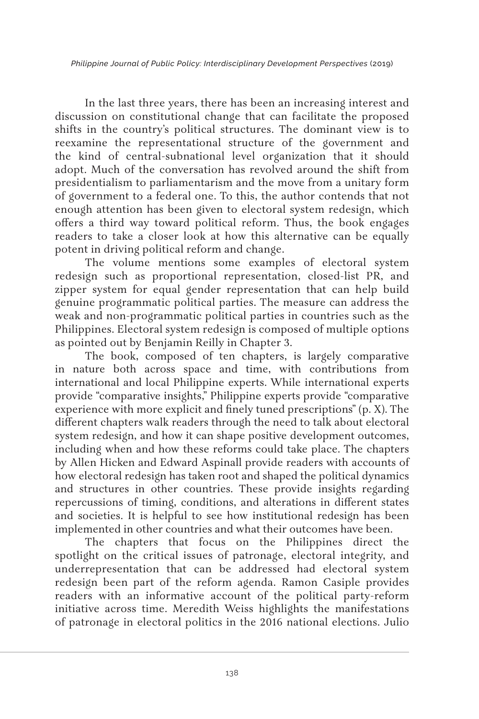*Philippine Journal of Public Policy: Interdisciplinary Development Perspectives* (2019)

In the last three years, there has been an increasing interest and discussion on constitutional change that can facilitate the proposed shifts in the country's political structures. The dominant view is to reexamine the representational structure of the government and the kind of central-subnational level organization that it should adopt. Much of the conversation has revolved around the shift from presidentialism to parliamentarism and the move from a unitary form of government to a federal one. To this, the author contends that not enough attention has been given to electoral system redesign, which offers a third way toward political reform. Thus, the book engages readers to take a closer look at how this alternative can be equally potent in driving political reform and change.

The volume mentions some examples of electoral system redesign such as proportional representation, closed-list PR, and zipper system for equal gender representation that can help build genuine programmatic political parties. The measure can address the weak and non-programmatic political parties in countries such as the Philippines. Electoral system redesign is composed of multiple options as pointed out by Benjamin Reilly in Chapter 3.

The book, composed of ten chapters, is largely comparative in nature both across space and time, with contributions from international and local Philippine experts. While international experts provide "comparative insights," Philippine experts provide "comparative experience with more explicit and finely tuned prescriptions" (p. X). The different chapters walk readers through the need to talk about electoral system redesign, and how it can shape positive development outcomes, including when and how these reforms could take place. The chapters by Allen Hicken and Edward Aspinall provide readers with accounts of how electoral redesign has taken root and shaped the political dynamics and structures in other countries. These provide insights regarding repercussions of timing, conditions, and alterations in different states and societies. It is helpful to see how institutional redesign has been implemented in other countries and what their outcomes have been.

The chapters that focus on the Philippines direct the spotlight on the critical issues of patronage, electoral integrity, and underrepresentation that can be addressed had electoral system redesign been part of the reform agenda. Ramon Casiple provides readers with an informative account of the political party-reform initiative across time. Meredith Weiss highlights the manifestations of patronage in electoral politics in the 2016 national elections. Julio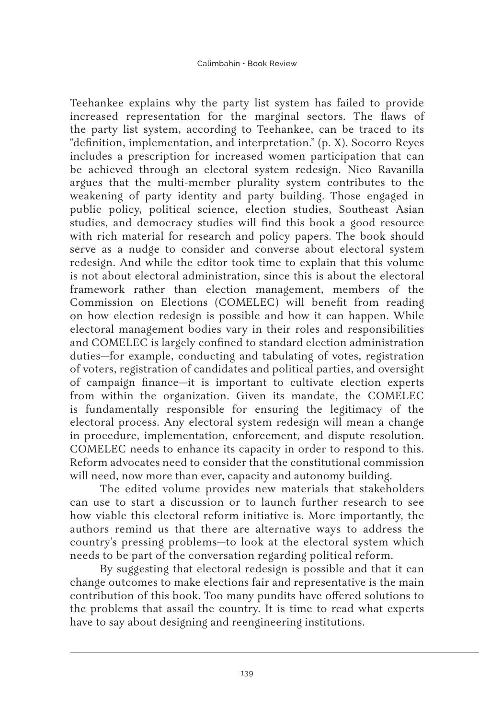Teehankee explains why the party list system has failed to provide increased representation for the marginal sectors. The flaws of the party list system, according to Teehankee, can be traced to its "definition, implementation, and interpretation." (p. X). Socorro Reyes includes a prescription for increased women participation that can be achieved through an electoral system redesign. Nico Ravanilla argues that the multi-member plurality system contributes to the weakening of party identity and party building. Those engaged in public policy, political science, election studies, Southeast Asian studies, and democracy studies will find this book a good resource with rich material for research and policy papers. The book should serve as a nudge to consider and converse about electoral system redesign. And while the editor took time to explain that this volume is not about electoral administration, since this is about the electoral framework rather than election management, members of the Commission on Elections (COMELEC) will benefit from reading on how election redesign is possible and how it can happen. While electoral management bodies vary in their roles and responsibilities and COMELEC is largely confined to standard election administration duties—for example, conducting and tabulating of votes, registration of voters, registration of candidates and political parties, and oversight of campaign finance—it is important to cultivate election experts from within the organization. Given its mandate, the COMELEC is fundamentally responsible for ensuring the legitimacy of the electoral process. Any electoral system redesign will mean a change in procedure, implementation, enforcement, and dispute resolution. COMELEC needs to enhance its capacity in order to respond to this. Reform advocates need to consider that the constitutional commission will need, now more than ever, capacity and autonomy building.

The edited volume provides new materials that stakeholders can use to start a discussion or to launch further research to see how viable this electoral reform initiative is. More importantly, the authors remind us that there are alternative ways to address the country's pressing problems—to look at the electoral system which needs to be part of the conversation regarding political reform.

By suggesting that electoral redesign is possible and that it can change outcomes to make elections fair and representative is the main contribution of this book. Too many pundits have offered solutions to the problems that assail the country. It is time to read what experts have to say about designing and reengineering institutions.